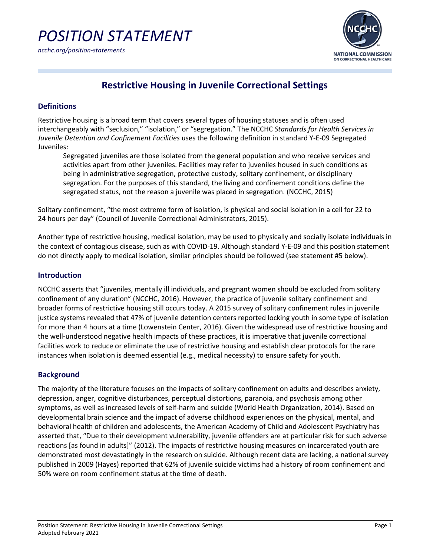

# **Restrictive Housing in Juvenile Correctional Settings**

### **Definitions**

Restrictive housing is a broad term that covers several types of housing statuses and is often used interchangeably with "seclusion," "isolation," or "segregation." The NCCHC *Standards for Health Services in Juvenile Detention and Confinement Facilities* uses the following definition in standard Y-E-09 Segregated Juveniles:

Segregated juveniles are those isolated from the general population and who receive services and activities apart from other juveniles. Facilities may refer to juveniles housed in such conditions as being in administrative segregation, protective custody, solitary confinement, or disciplinary segregation. For the purposes of this standard, the living and confinement conditions define the segregated status, not the reason a juvenile was placed in segregation. (NCCHC, 2015)

Solitary confinement, "the most extreme form of isolation, is physical and social isolation in a cell for 22 to 24 hours per day" (Council of Juvenile Correctional Administrators, 2015).

Another type of restrictive housing, medical isolation, may be used to physically and socially isolate individuals in the context of contagious disease, such as with COVID-19. Although standard Y-E-09 and this position statement do not directly apply to medical isolation, similar principles should be followed (see statement #5 below).

#### **Introduction**

NCCHC asserts that "juveniles, mentally ill individuals, and pregnant women should be excluded from solitary confinement of any duration" (NCCHC, 2016). However, the practice of juvenile solitary confinement and broader forms of restrictive housing still occurs today. A 2015 survey of solitary confinement rules in juvenile justice systems revealed that 47% of juvenile detention centers reported locking youth in some type of isolation for more than 4 hours at a time (Lowenstein Center, 2016). Given the widespread use of restrictive housing and the well-understood negative health impacts of these practices, it is imperative that juvenile correctional facilities work to reduce or eliminate the use of restrictive housing and establish clear protocols for the rare instances when isolation is deemed essential (e.g., medical necessity) to ensure safety for youth.

#### **Background**

The majority of the literature focuses on the impacts of solitary confinement on adults and describes anxiety, depression, anger, cognitive disturbances, perceptual distortions, paranoia, and psychosis among other symptoms, as well as increased levels of self-harm and suicide (World Health Organization, 2014). Based on developmental brain science and the impact of adverse childhood experiences on the physical, mental, and behavioral health of children and adolescents, the American Academy of Child and Adolescent Psychiatry has asserted that, "Due to their development vulnerability, juvenile offenders are at particular risk for such adverse reactions [as found in adults]" (2012). The impacts of restrictive housing measures on incarcerated youth are demonstrated most devastatingly in the research on suicide. Although recent data are lacking, a national survey published in 2009 (Hayes) reported that 62% of juvenile suicide victims had a history of room confinement and 50% were on room confinement status at the time of death.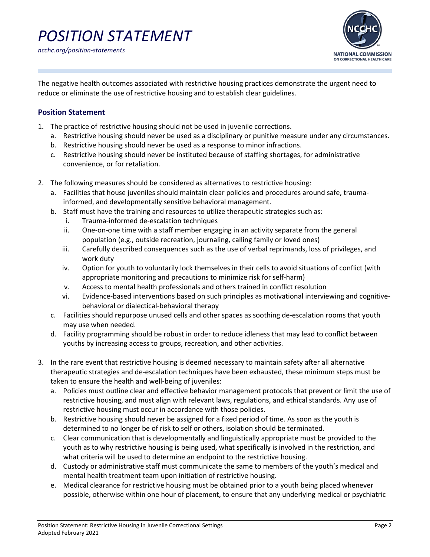

The negative health outcomes associated with restrictive housing practices demonstrate the urgent need to reduce or eliminate the use of restrictive housing and to establish clear guidelines.

## **Position Statement**

- 1. The practice of restrictive housing should not be used in juvenile corrections.
	- a. Restrictive housing should never be used as a disciplinary or punitive measure under any circumstances.
	- b. Restrictive housing should never be used as a response to minor infractions.
	- c. Restrictive housing should never be instituted because of staffing shortages, for administrative convenience, or for retaliation.
- 2. The following measures should be considered as alternatives to restrictive housing:
	- a. Facilities that house juveniles should maintain clear policies and procedures around safe, traumainformed, and developmentally sensitive behavioral management.
	- b. Staff must have the training and resources to utilize therapeutic strategies such as:
		- i. Trauma-informed de-escalation techniques
		- ii. One-on-one time with a staff member engaging in an activity separate from the general population (e.g., outside recreation, journaling, calling family or loved ones)
		- iii. Carefully described consequences such as the use of verbal reprimands, loss of privileges, and work duty
		- iv. Option for youth to voluntarily lock themselves in their cells to avoid situations of conflict (with appropriate monitoring and precautions to minimize risk for self-harm)
		- v. Access to mental health professionals and others trained in conflict resolution
		- vi. Evidence-based interventions based on such principles as motivational interviewing and cognitivebehavioral or dialectical-behavioral therapy
	- c. Facilities should repurpose unused cells and other spaces as soothing de-escalation rooms that youth may use when needed.
	- d. Facility programming should be robust in order to reduce idleness that may lead to conflict between youths by increasing access to groups, recreation, and other activities.
- 3. In the rare event that restrictive housing is deemed necessary to maintain safety after all alternative therapeutic strategies and de-escalation techniques have been exhausted, these minimum steps must be taken to ensure the health and well-being of juveniles:
	- a. Policies must outline clear and effective behavior management protocols that prevent or limit the use of restrictive housing, and must align with relevant laws, regulations, and ethical standards. Any use of restrictive housing must occur in accordance with those policies.
	- b. Restrictive housing should never be assigned for a fixed period of time. As soon as the youth is determined to no longer be of risk to self or others, isolation should be terminated.
	- c. Clear communication that is developmentally and linguistically appropriate must be provided to the youth as to why restrictive housing is being used, what specifically is involved in the restriction, and what criteria will be used to determine an endpoint to the restrictive housing.
	- d. Custody or administrative staff must communicate the same to members of the youth's medical and mental health treatment team upon initiation of restrictive housing.
	- e. Medical clearance for restrictive housing must be obtained prior to a youth being placed whenever possible, otherwise within one hour of placement, to ensure that any underlying medical or psychiatric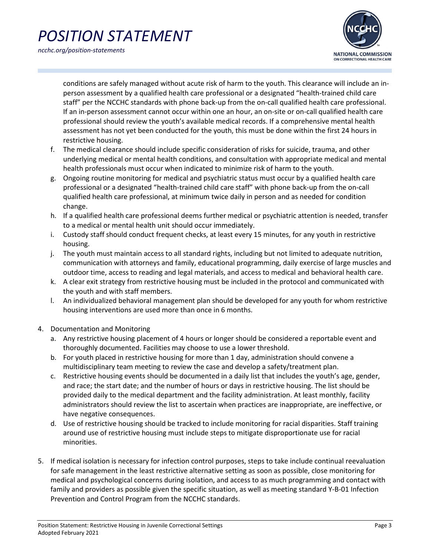



conditions are safely managed without acute risk of harm to the youth. This clearance will include an inperson assessment by a qualified health care professional or a designated "health-trained child care staff" per the NCCHC standards with phone back-up from the on-call qualified health care professional. If an in-person assessment cannot occur within one an hour, an on-site or on-call qualified health care professional should review the youth's available medical records. If a comprehensive mental health assessment has not yet been conducted for the youth, this must be done within the first 24 hours in restrictive housing.

- f. The medical clearance should include specific consideration of risks for suicide, trauma, and other underlying medical or mental health conditions, and consultation with appropriate medical and mental health professionals must occur when indicated to minimize risk of harm to the youth.
- g. Ongoing routine monitoring for medical and psychiatric status must occur by a qualified health care professional or a designated "health-trained child care staff" with phone back-up from the on-call qualified health care professional, at minimum twice daily in person and as needed for condition change.
- h. If a qualified health care professional deems further medical or psychiatric attention is needed, transfer to a medical or mental health unit should occur immediately.
- i. Custody staff should conduct frequent checks, at least every 15 minutes, for any youth in restrictive housing.
- j. The youth must maintain access to all standard rights, including but not limited to adequate nutrition, communication with attorneys and family, educational programming, daily exercise of large muscles and outdoor time, access to reading and legal materials, and access to medical and behavioral health care.
- k. A clear exit strategy from restrictive housing must be included in the protocol and communicated with the youth and with staff members.
- l. An individualized behavioral management plan should be developed for any youth for whom restrictive housing interventions are used more than once in 6 months.
- 4. Documentation and Monitoring
	- a. Any restrictive housing placement of 4 hours or longer should be considered a reportable event and thoroughly documented. Facilities may choose to use a lower threshold.
	- b. For youth placed in restrictive housing for more than 1 day, administration should convene a multidisciplinary team meeting to review the case and develop a safety/treatment plan.
	- c. Restrictive housing events should be documented in a daily list that includes the youth's age, gender, and race; the start date; and the number of hours or days in restrictive housing. The list should be provided daily to the medical department and the facility administration. At least monthly, facility administrators should review the list to ascertain when practices are inappropriate, are ineffective, or have negative consequences.
	- d. Use of restrictive housing should be tracked to include monitoring for racial disparities. Staff training around use of restrictive housing must include steps to mitigate disproportionate use for racial minorities.
- 5. If medical isolation is necessary for infection control purposes, steps to take include continual reevaluation for safe management in the least restrictive alternative setting as soon as possible, close monitoring for medical and psychological concerns during isolation, and access to as much programming and contact with family and providers as possible given the specific situation, as well as meeting standard Y-B-01 Infection Prevention and Control Program from the NCCHC standards.